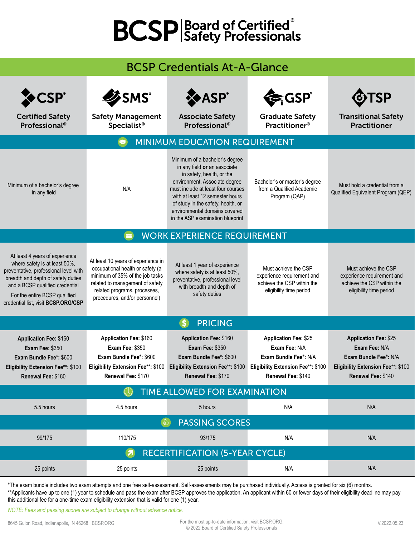## **BCSP** Safety Professionals

## BCSP Credentials At-A-Glance

| <b>CSP®</b><br><b>Certified Safety</b>                                                                                                                                                                                                                    | <b>ZSMS®</b><br><b>Safety Management</b>                                                                                                                                                                      | <b>XASP</b> ®<br><b>Associate Safety</b>                                                                                                                                                                                                                                                                         | ੋ,GSP ੈ<br><b>Graduate Safety</b>                                                                                                  | <b>SP</b><br><b>Transitional Safety</b>                                                                                            |  |  |  |
|-----------------------------------------------------------------------------------------------------------------------------------------------------------------------------------------------------------------------------------------------------------|---------------------------------------------------------------------------------------------------------------------------------------------------------------------------------------------------------------|------------------------------------------------------------------------------------------------------------------------------------------------------------------------------------------------------------------------------------------------------------------------------------------------------------------|------------------------------------------------------------------------------------------------------------------------------------|------------------------------------------------------------------------------------------------------------------------------------|--|--|--|
| Professional <sup>®</sup>                                                                                                                                                                                                                                 | <b>Specialist<sup>®</sup></b>                                                                                                                                                                                 | Professional <sup>®</sup>                                                                                                                                                                                                                                                                                        | <b>Practitioner<sup>®</sup></b>                                                                                                    | <b>Practitioner</b>                                                                                                                |  |  |  |
| MINIMUM EDUCATION REQUIREMENT                                                                                                                                                                                                                             |                                                                                                                                                                                                               |                                                                                                                                                                                                                                                                                                                  |                                                                                                                                    |                                                                                                                                    |  |  |  |
| Minimum of a bachelor's degree<br>in any field                                                                                                                                                                                                            | N/A                                                                                                                                                                                                           | Minimum of a bachelor's degree<br>in any field or an associate<br>in safety, health, or the<br>environment. Associate degree<br>must include at least four courses<br>with at least 12 semester hours<br>of study in the safety, health, or<br>environmental domains covered<br>in the ASP examination blueprint | Bachelor's or master's degree<br>from a Qualified Academic<br>Program (QAP)                                                        | Must hold a credential from a<br>Qualified Equivalent Program (QEP)                                                                |  |  |  |
| <b>WORK EXPERIENCE REQUIREMENT</b>                                                                                                                                                                                                                        |                                                                                                                                                                                                               |                                                                                                                                                                                                                                                                                                                  |                                                                                                                                    |                                                                                                                                    |  |  |  |
| At least 4 years of experience<br>where safety is at least 50%,<br>preventative, professional level with<br>breadth and depth of safety duties<br>and a BCSP qualified credential<br>For the entire BCSP qualified<br>credential list, visit BCSP.ORG/CSP | At least 10 years of experience in<br>occupational health or safety (a<br>minimum of 35% of the job tasks<br>related to management of safety<br>related programs, processes,<br>procedures, and/or personnel) | At least 1 year of experience<br>where safety is at least 50%,<br>preventative, professional level<br>with breadth and depth of<br>safety duties                                                                                                                                                                 | Must achieve the CSP<br>experience requirement and<br>achieve the CSP within the<br>eligibility time period                        | Must achieve the CSP<br>experience requirement and<br>achieve the CSP within the<br>eligibility time period                        |  |  |  |
| <b>PRICING</b><br>$\left($ S $\right)$                                                                                                                                                                                                                    |                                                                                                                                                                                                               |                                                                                                                                                                                                                                                                                                                  |                                                                                                                                    |                                                                                                                                    |  |  |  |
| <b>Application Fee: \$160</b><br><b>Exam Fee: \$350</b><br>Exam Bundle Fee*: \$600<br>Eligibility Extension Fee**: \$100<br>Renewal Fee: \$180                                                                                                            | <b>Application Fee: \$160</b><br><b>Exam Fee: \$350</b><br>Exam Bundle Fee*: \$600<br>Eligibility Extension Fee**: \$100<br>Renewal Fee: \$170                                                                | <b>Application Fee: \$160</b><br><b>Exam Fee: \$350</b><br>Exam Bundle Fee*: \$600<br>Eligibility Extension Fee**: \$100<br>Renewal Fee: \$170                                                                                                                                                                   | <b>Application Fee: \$25</b><br>Exam Fee: N/A<br>Exam Bundle Fee*: N/A<br>Eligibility Extension Fee**: \$100<br>Renewal Fee: \$140 | <b>Application Fee: \$25</b><br>Exam Fee: N/A<br>Exam Bundle Fee*: N/A<br>Eligibility Extension Fee**: \$100<br>Renewal Fee: \$140 |  |  |  |
| TIME ALLOWED FOR EXAMINATION                                                                                                                                                                                                                              |                                                                                                                                                                                                               |                                                                                                                                                                                                                                                                                                                  |                                                                                                                                    |                                                                                                                                    |  |  |  |
| 5.5 hours                                                                                                                                                                                                                                                 | 4.5 hours                                                                                                                                                                                                     | 5 hours                                                                                                                                                                                                                                                                                                          | N/A                                                                                                                                | N/A                                                                                                                                |  |  |  |
| <b>PASSING SCORES</b>                                                                                                                                                                                                                                     |                                                                                                                                                                                                               |                                                                                                                                                                                                                                                                                                                  |                                                                                                                                    |                                                                                                                                    |  |  |  |
| 99/175                                                                                                                                                                                                                                                    | 110/175                                                                                                                                                                                                       | 93/175                                                                                                                                                                                                                                                                                                           | N/A                                                                                                                                | N/A                                                                                                                                |  |  |  |
| <b>RECERTIFICATION (5-YEAR CYCLE)</b><br>$\overline{\mathbf{z}}$                                                                                                                                                                                          |                                                                                                                                                                                                               |                                                                                                                                                                                                                                                                                                                  |                                                                                                                                    |                                                                                                                                    |  |  |  |
| 25 points                                                                                                                                                                                                                                                 | 25 points                                                                                                                                                                                                     | 25 points                                                                                                                                                                                                                                                                                                        | N/A                                                                                                                                | N/A                                                                                                                                |  |  |  |

\*The exam bundle includes two exam attempts and one free self-assessment. Self-assessments may be purchased individually. Access is granted for six (6) months. \*\*Applicants have up to one (1) year to schedule and pass the exam after BCSP approves the application. An applicant within 60 or fewer days of their eligibility deadline may pay this additional fee for a one-time exam eligibility extension that is valid for one (1) year.

NOTE: Fees and passing scores are subject to change without advance notice.